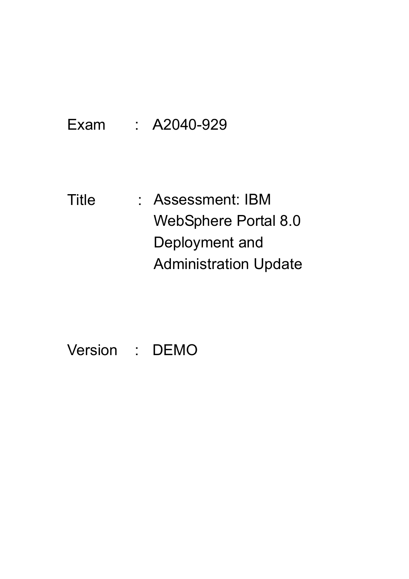Exam : A2040-929

Title : Assessment: IBM WebSphere Portal 8.0 Deployment and Administration Update

Version : DEMO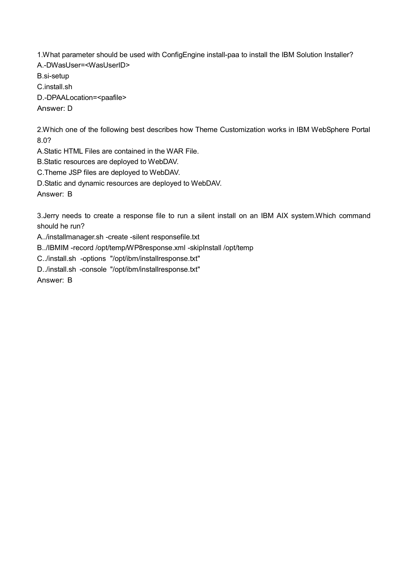1.What parameter should be used with ConfigEngine install-paa to install the IBM Solution Installer? A.-DWasUser=<WasUserID>

B.si-setup

C.install.sh

D.-DPAALocation=<paafile>

Answer: D

2.Which one of the following best describes how Theme Customization works in IBM WebSphere Portal 8.0?

A.Static HTML Files are contained in the WAR File.

B.Static resources are deployed to WebDAV.

C.Theme JSP files are deployed to WebDAV.

D.Static and dynamic resources are deployed to WebDAV.

Answer: B

3.Jerry needs to create a response file to run a silent install on an IBM AIX system.Which command should he run?

A../installmanager.sh -create -silent responsefile.txt

B../IBMIM -record /opt/temp/WP8response.xml -skipInstall /opt/temp

C../install.sh -options "/opt/ibm/installresponse.txt"

D../install.sh -console "/opt/ibm/installresponse.txt"

Answer: B